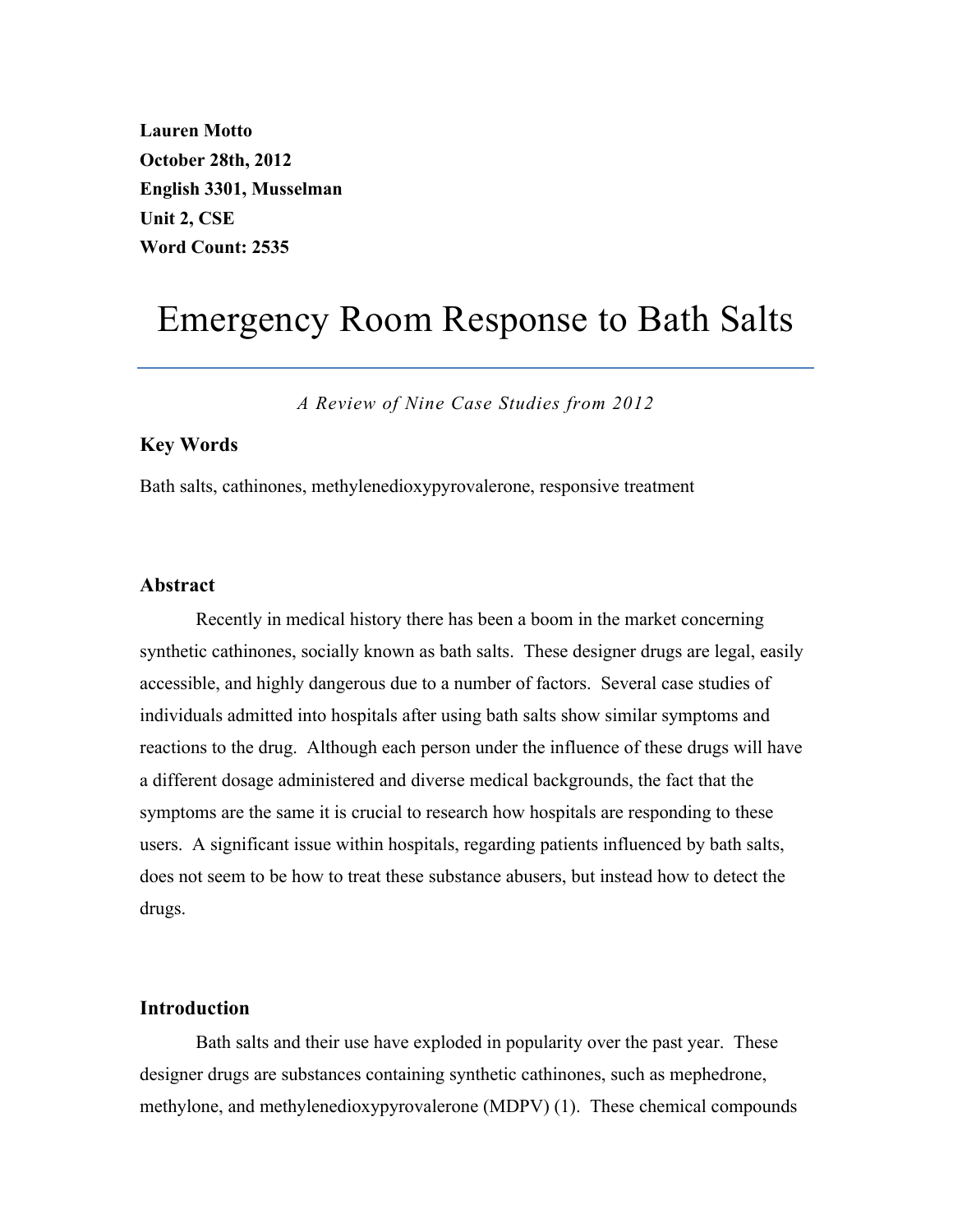**Lauren Motto October 28th, 2012 English 3301, Musselman Unit 2, CSE Word Count: 2535**

# Emergency Room Response to Bath Salts

*A Review of Nine Case Studies from 2012*

## **Key Words**

Bath salts, cathinones, methylenedioxypyrovalerone, responsive treatment

# **Abstract**

Recently in medical history there has been a boom in the market concerning synthetic cathinones, socially known as bath salts. These designer drugs are legal, easily accessible, and highly dangerous due to a number of factors. Several case studies of individuals admitted into hospitals after using bath salts show similar symptoms and reactions to the drug. Although each person under the influence of these drugs will have a different dosage administered and diverse medical backgrounds, the fact that the symptoms are the same it is crucial to research how hospitals are responding to these users. A significant issue within hospitals, regarding patients influenced by bath salts, does not seem to be how to treat these substance abusers, but instead how to detect the drugs.

#### **Introduction**

Bath salts and their use have exploded in popularity over the past year. These designer drugs are substances containing synthetic cathinones, such as mephedrone, methylone, and methylenedioxypyrovalerone (MDPV) (1). These chemical compounds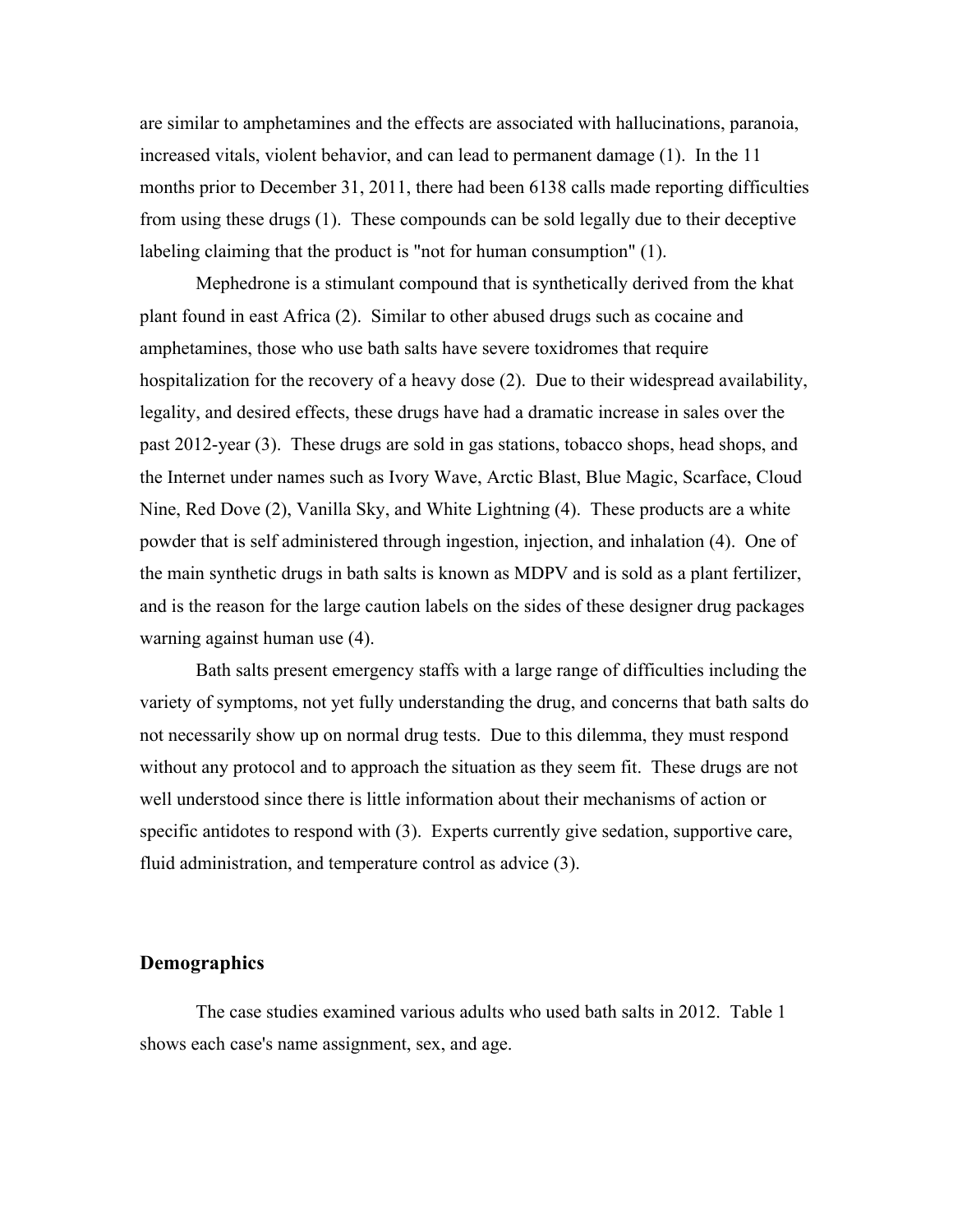are similar to amphetamines and the effects are associated with hallucinations, paranoia, increased vitals, violent behavior, and can lead to permanent damage (1). In the 11 months prior to December 31, 2011, there had been 6138 calls made reporting difficulties from using these drugs (1). These compounds can be sold legally due to their deceptive labeling claiming that the product is "not for human consumption" (1).

Mephedrone is a stimulant compound that is synthetically derived from the khat plant found in east Africa (2). Similar to other abused drugs such as cocaine and amphetamines, those who use bath salts have severe toxidromes that require hospitalization for the recovery of a heavy dose (2). Due to their widespread availability, legality, and desired effects, these drugs have had a dramatic increase in sales over the past 2012-year (3). These drugs are sold in gas stations, tobacco shops, head shops, and the Internet under names such as Ivory Wave, Arctic Blast, Blue Magic, Scarface, Cloud Nine, Red Dove (2), Vanilla Sky, and White Lightning (4). These products are a white powder that is self administered through ingestion, injection, and inhalation (4). One of the main synthetic drugs in bath salts is known as MDPV and is sold as a plant fertilizer, and is the reason for the large caution labels on the sides of these designer drug packages warning against human use (4).

Bath salts present emergency staffs with a large range of difficulties including the variety of symptoms, not yet fully understanding the drug, and concerns that bath salts do not necessarily show up on normal drug tests. Due to this dilemma, they must respond without any protocol and to approach the situation as they seem fit. These drugs are not well understood since there is little information about their mechanisms of action or specific antidotes to respond with (3). Experts currently give sedation, supportive care, fluid administration, and temperature control as advice (3).

# **Demographics**

The case studies examined various adults who used bath salts in 2012. Table 1 shows each case's name assignment, sex, and age.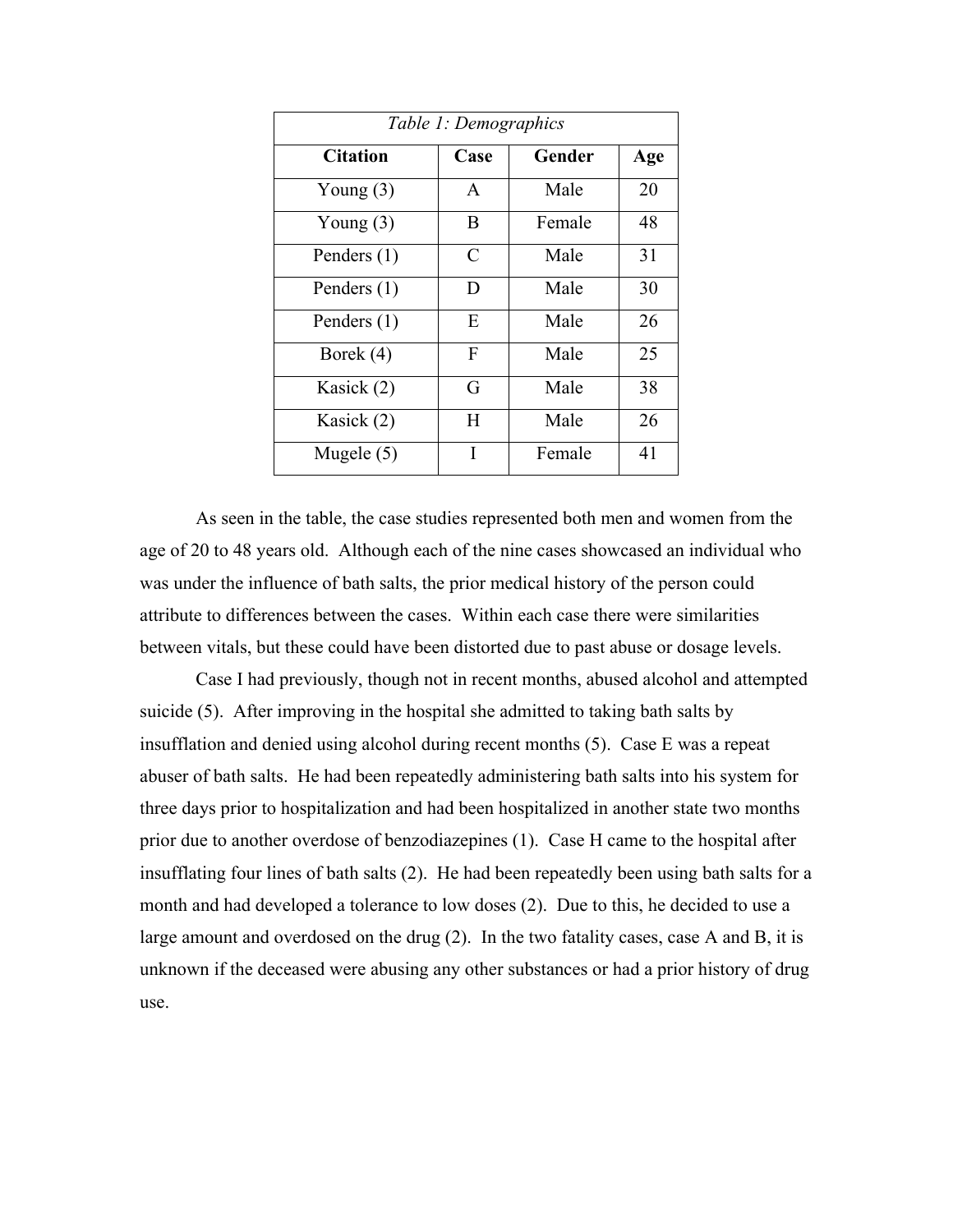| Table 1: Demographics |              |        |     |  |  |  |  |
|-----------------------|--------------|--------|-----|--|--|--|--|
| <b>Citation</b>       | Case         | Gender | Age |  |  |  |  |
| Young $(3)$           | $\mathbf{A}$ | Male   | 20  |  |  |  |  |
| Young $(3)$           | B            | Female | 48  |  |  |  |  |
| Penders (1)           | C            | Male   | 31  |  |  |  |  |
| Penders $(1)$         | D            | Male   | 30  |  |  |  |  |
| Penders $(1)$         | E            | Male   | 26  |  |  |  |  |
| Borek (4)             | F            | Male   | 25  |  |  |  |  |
| Kasick (2)            | G            | Male   | 38  |  |  |  |  |
| Kasick (2)            | H            | Male   | 26  |  |  |  |  |
| Mugele $(5)$          | Ī            | Female | 41  |  |  |  |  |

As seen in the table, the case studies represented both men and women from the age of 20 to 48 years old. Although each of the nine cases showcased an individual who was under the influence of bath salts, the prior medical history of the person could attribute to differences between the cases. Within each case there were similarities between vitals, but these could have been distorted due to past abuse or dosage levels.

Case I had previously, though not in recent months, abused alcohol and attempted suicide (5). After improving in the hospital she admitted to taking bath salts by insufflation and denied using alcohol during recent months (5). Case E was a repeat abuser of bath salts. He had been repeatedly administering bath salts into his system for three days prior to hospitalization and had been hospitalized in another state two months prior due to another overdose of benzodiazepines (1). Case H came to the hospital after insufflating four lines of bath salts (2). He had been repeatedly been using bath salts for a month and had developed a tolerance to low doses (2). Due to this, he decided to use a large amount and overdosed on the drug (2). In the two fatality cases, case A and B, it is unknown if the deceased were abusing any other substances or had a prior history of drug use.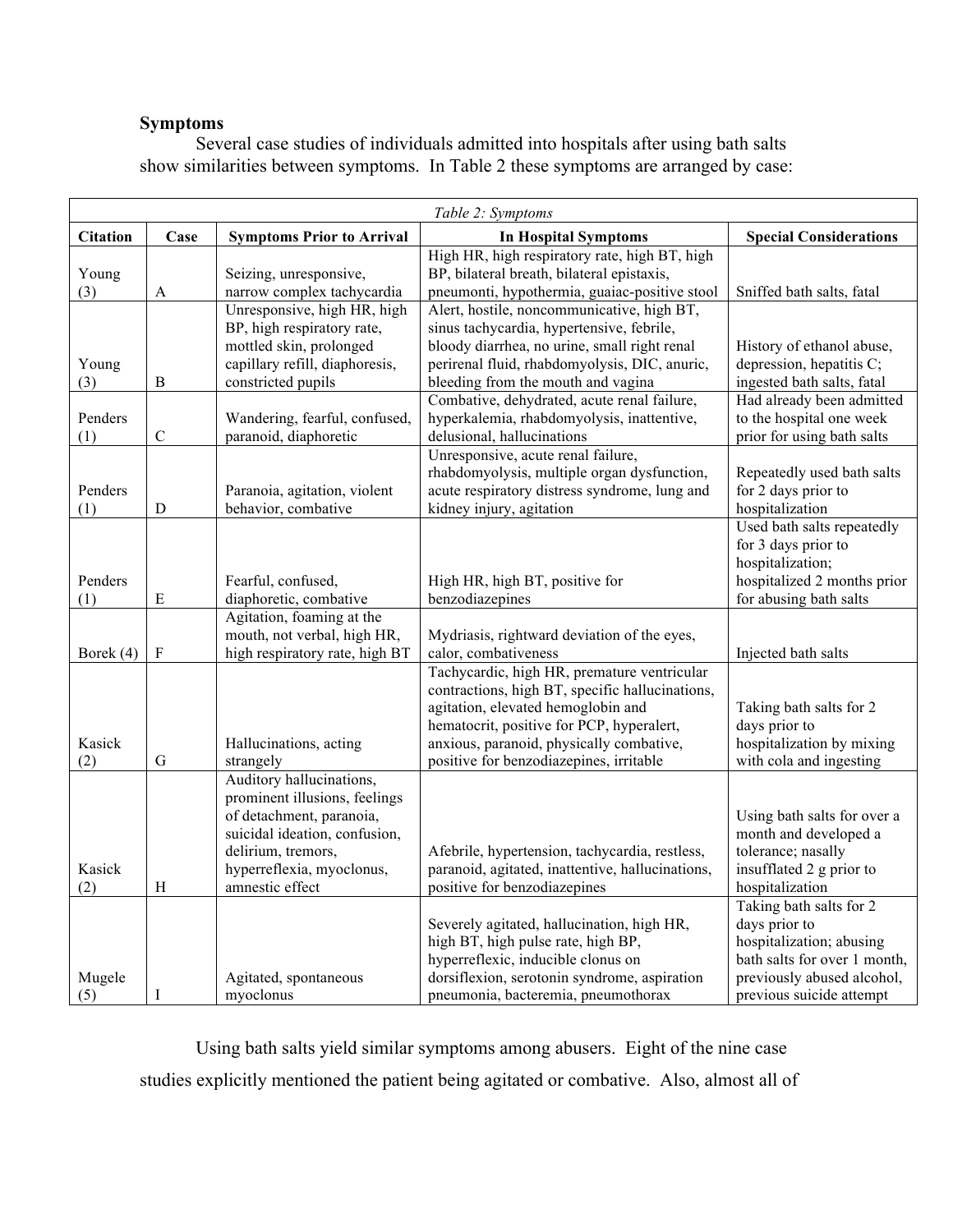# **Symptoms**

Several case studies of individuals admitted into hospitals after using bath salts show similarities between symptoms. In Table 2 these symptoms are arranged by case:

| Table 2: Symptoms |              |                                                      |                                                                                             |                                             |  |  |  |  |
|-------------------|--------------|------------------------------------------------------|---------------------------------------------------------------------------------------------|---------------------------------------------|--|--|--|--|
| <b>Citation</b>   | $\bf Case$   | <b>Symptoms Prior to Arrival</b>                     | <b>In Hospital Symptoms</b>                                                                 | <b>Special Considerations</b>               |  |  |  |  |
|                   |              |                                                      | High HR, high respiratory rate, high BT, high                                               |                                             |  |  |  |  |
| Young<br>(3)      | $\mathbf{A}$ | Seizing, unresponsive,<br>narrow complex tachycardia | BP, bilateral breath, bilateral epistaxis,<br>pneumonti, hypothermia, guaiac-positive stool | Sniffed bath salts, fatal                   |  |  |  |  |
|                   |              | Unresponsive, high HR, high                          | Alert, hostile, noncommunicative, high BT,                                                  |                                             |  |  |  |  |
|                   |              | BP, high respiratory rate,                           | sinus tachycardia, hypertensive, febrile,                                                   |                                             |  |  |  |  |
|                   |              | mottled skin, prolonged                              | bloody diarrhea, no urine, small right renal                                                | History of ethanol abuse,                   |  |  |  |  |
| Young             |              | capillary refill, diaphoresis,                       | perirenal fluid, rhabdomyolysis, DIC, anuric,                                               | depression, hepatitis C;                    |  |  |  |  |
| (3)               | $\, {\bf B}$ | constricted pupils                                   | bleeding from the mouth and vagina                                                          | ingested bath salts, fatal                  |  |  |  |  |
|                   |              |                                                      | Combative, dehydrated, acute renal failure,                                                 | Had already been admitted                   |  |  |  |  |
| Penders           |              | Wandering, fearful, confused,                        | hyperkalemia, rhabdomyolysis, inattentive,                                                  | to the hospital one week                    |  |  |  |  |
| (1)               | $\mathsf C$  | paranoid, diaphoretic                                | delusional, hallucinations                                                                  | prior for using bath salts                  |  |  |  |  |
|                   |              |                                                      | Unresponsive, acute renal failure,<br>rhabdomyolysis, multiple organ dysfunction,           | Repeatedly used bath salts                  |  |  |  |  |
| Penders           |              | Paranoia, agitation, violent                         | acute respiratory distress syndrome, lung and                                               | for 2 days prior to                         |  |  |  |  |
| (1)               | $\mathbf D$  | behavior, combative                                  | kidney injury, agitation                                                                    | hospitalization                             |  |  |  |  |
|                   |              |                                                      |                                                                                             | Used bath salts repeatedly                  |  |  |  |  |
|                   |              |                                                      |                                                                                             | for 3 days prior to                         |  |  |  |  |
|                   |              |                                                      |                                                                                             | hospitalization;                            |  |  |  |  |
| Penders           |              | Fearful, confused,                                   | High HR, high BT, positive for                                                              | hospitalized 2 months prior                 |  |  |  |  |
| (1)               | $\mathbf E$  | diaphoretic, combative                               | benzodiazepines                                                                             | for abusing bath salts                      |  |  |  |  |
|                   |              | Agitation, foaming at the                            |                                                                                             |                                             |  |  |  |  |
|                   |              | mouth, not verbal, high HR,                          | Mydriasis, rightward deviation of the eyes,                                                 |                                             |  |  |  |  |
| Borek (4)         | ${\bf F}$    | high respiratory rate, high BT                       | calor, combativeness<br>Tachycardic, high HR, premature ventricular                         | Injected bath salts                         |  |  |  |  |
|                   |              |                                                      | contractions, high BT, specific hallucinations,                                             |                                             |  |  |  |  |
|                   |              |                                                      | agitation, elevated hemoglobin and                                                          | Taking bath salts for 2                     |  |  |  |  |
|                   |              |                                                      | hematocrit, positive for PCP, hyperalert,                                                   | days prior to                               |  |  |  |  |
| Kasick            |              | Hallucinations, acting                               | anxious, paranoid, physically combative,                                                    | hospitalization by mixing                   |  |  |  |  |
| (2)               | $\mathbf G$  | strangely                                            | positive for benzodiazepines, irritable                                                     | with cola and ingesting                     |  |  |  |  |
|                   |              | Auditory hallucinations,                             |                                                                                             |                                             |  |  |  |  |
|                   |              | prominent illusions, feelings                        |                                                                                             |                                             |  |  |  |  |
|                   |              | of detachment, paranoia,                             |                                                                                             | Using bath salts for over a                 |  |  |  |  |
|                   |              | suicidal ideation, confusion,<br>delirium, tremors,  | Afebrile, hypertension, tachycardia, restless,                                              | month and developed a<br>tolerance; nasally |  |  |  |  |
| Kasick            |              | hyperreflexia, myoclonus,                            | paranoid, agitated, inattentive, hallucinations,                                            | insufflated 2 g prior to                    |  |  |  |  |
| (2)               | H            | amnestic effect                                      | positive for benzodiazepines                                                                | hospitalization                             |  |  |  |  |
|                   |              |                                                      |                                                                                             | Taking bath salts for 2                     |  |  |  |  |
|                   |              |                                                      | Severely agitated, hallucination, high HR,                                                  | days prior to                               |  |  |  |  |
|                   |              |                                                      | high BT, high pulse rate, high BP,                                                          | hospitalization; abusing                    |  |  |  |  |
|                   |              |                                                      | hyperreflexic, inducible clonus on                                                          | bath salts for over 1 month,                |  |  |  |  |
| Mugele            |              | Agitated, spontaneous                                | dorsiflexion, serotonin syndrome, aspiration                                                | previously abused alcohol,                  |  |  |  |  |
| (5)               | I            | myoclonus                                            | pneumonia, bacteremia, pneumothorax                                                         | previous suicide attempt                    |  |  |  |  |

Using bath salts yield similar symptoms among abusers. Eight of the nine case studies explicitly mentioned the patient being agitated or combative. Also, almost all of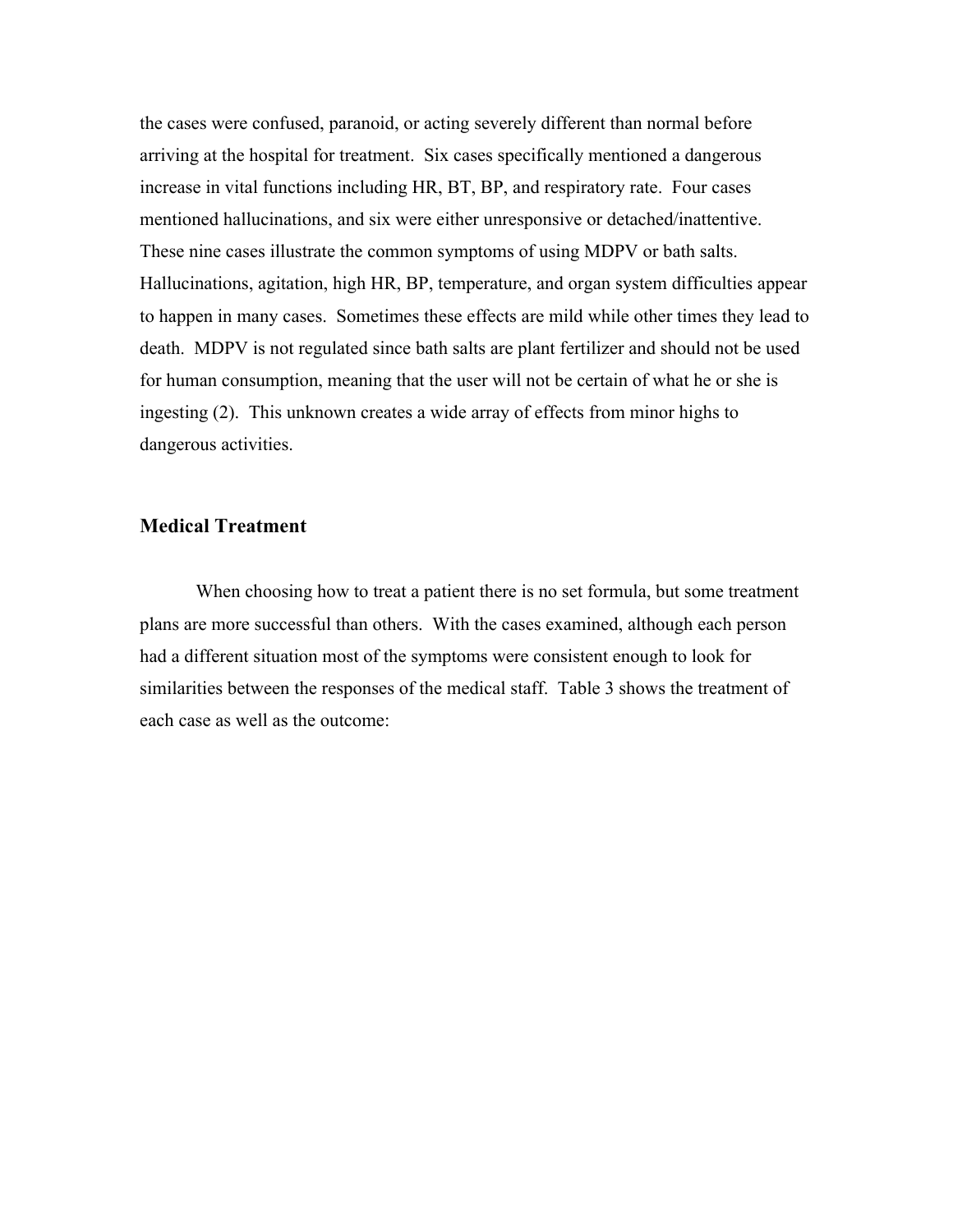the cases were confused, paranoid, or acting severely different than normal before arriving at the hospital for treatment. Six cases specifically mentioned a dangerous increase in vital functions including HR, BT, BP, and respiratory rate. Four cases mentioned hallucinations, and six were either unresponsive or detached/inattentive. These nine cases illustrate the common symptoms of using MDPV or bath salts. Hallucinations, agitation, high HR, BP, temperature, and organ system difficulties appear to happen in many cases. Sometimes these effects are mild while other times they lead to death. MDPV is not regulated since bath salts are plant fertilizer and should not be used for human consumption, meaning that the user will not be certain of what he or she is ingesting (2). This unknown creates a wide array of effects from minor highs to dangerous activities.

# **Medical Treatment**

When choosing how to treat a patient there is no set formula, but some treatment plans are more successful than others. With the cases examined, although each person had a different situation most of the symptoms were consistent enough to look for similarities between the responses of the medical staff. Table 3 shows the treatment of each case as well as the outcome: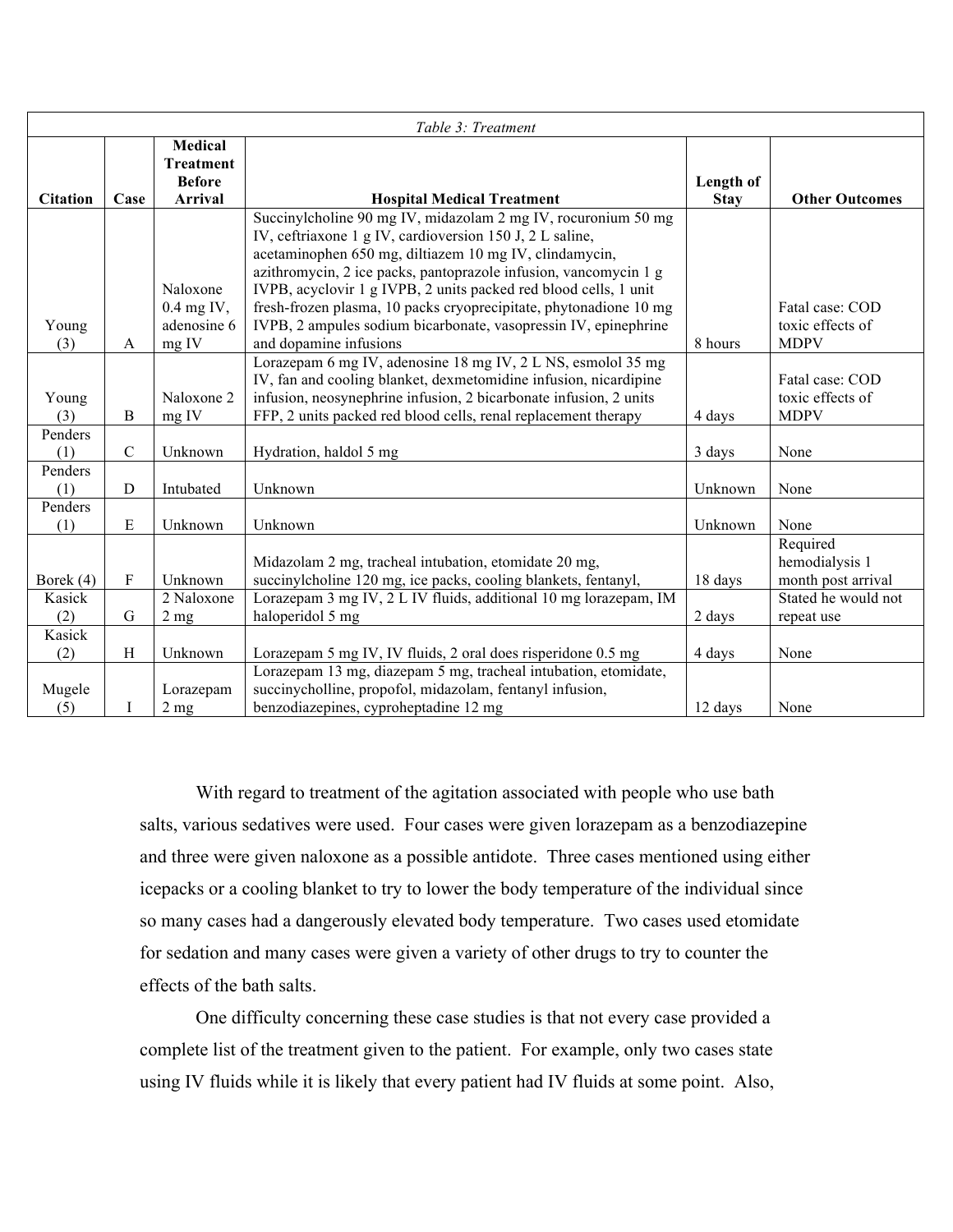| Table 3: Treatment |               |                  |                                                                                                                                 |             |                       |  |  |
|--------------------|---------------|------------------|---------------------------------------------------------------------------------------------------------------------------------|-------------|-----------------------|--|--|
|                    |               | <b>Medical</b>   |                                                                                                                                 |             |                       |  |  |
|                    |               | <b>Treatment</b> |                                                                                                                                 |             |                       |  |  |
|                    |               | <b>Before</b>    |                                                                                                                                 | Length of   |                       |  |  |
| <b>Citation</b>    | Case          | Arrival          | <b>Hospital Medical Treatment</b>                                                                                               | <b>Stay</b> | <b>Other Outcomes</b> |  |  |
|                    |               |                  | Succinylcholine 90 mg IV, midazolam 2 mg IV, rocuronium 50 mg<br>IV, ceftriaxone 1 g IV, cardioversion 150 J, 2 L saline,       |             |                       |  |  |
|                    |               |                  | acetaminophen 650 mg, diltiazem 10 mg IV, clindamycin,                                                                          |             |                       |  |  |
|                    |               |                  | azithromycin, 2 ice packs, pantoprazole infusion, vancomycin 1 g                                                                |             |                       |  |  |
|                    |               | Naloxone         | IVPB, acyclovir 1 g IVPB, 2 units packed red blood cells, 1 unit                                                                |             |                       |  |  |
|                    |               | $0.4$ mg IV,     | fresh-frozen plasma, 10 packs cryoprecipitate, phytonadione 10 mg                                                               |             | Fatal case: COD       |  |  |
| Young              |               | adenosine 6      | IVPB, 2 ampules sodium bicarbonate, vasopressin IV, epinephrine                                                                 |             | toxic effects of      |  |  |
| (3)                | A             | mg IV            | and dopamine infusions                                                                                                          | 8 hours     | <b>MDPV</b>           |  |  |
|                    |               |                  | Lorazepam 6 mg IV, adenosine 18 mg IV, 2 L NS, esmolol 35 mg                                                                    |             |                       |  |  |
|                    |               |                  | IV, fan and cooling blanket, dexmetomidine infusion, nicardipine                                                                |             | Fatal case: COD       |  |  |
| Young              |               | Naloxone 2       | infusion, neosynephrine infusion, 2 bicarbonate infusion, 2 units                                                               |             | toxic effects of      |  |  |
| (3)                | $\, {\bf B}$  | mg IV            | FFP, 2 units packed red blood cells, renal replacement therapy                                                                  | 4 days      | <b>MDPV</b>           |  |  |
| Penders            |               |                  |                                                                                                                                 |             |                       |  |  |
| (1)                | $\mathcal{C}$ | Unknown          | Hydration, haldol 5 mg                                                                                                          | 3 days      | None                  |  |  |
| Penders            |               |                  |                                                                                                                                 |             |                       |  |  |
| (1)                | $\mathbf D$   | Intubated        | Unknown                                                                                                                         | Unknown     | None                  |  |  |
| Penders            |               |                  |                                                                                                                                 |             |                       |  |  |
| (1)                | E             | Unknown          | Unknown                                                                                                                         | Unknown     | None                  |  |  |
|                    |               |                  |                                                                                                                                 |             | Required              |  |  |
|                    |               |                  | Midazolam 2 mg, tracheal intubation, etomidate 20 mg,                                                                           |             | hemodialysis 1        |  |  |
| Borek (4)          | ${\bf F}$     | Unknown          | succinylcholine 120 mg, ice packs, cooling blankets, fentanyl,                                                                  | 18 days     | month post arrival    |  |  |
| Kasick             |               | 2 Naloxone       | Lorazepam 3 mg IV, 2 L IV fluids, additional 10 mg lorazepam, IM                                                                |             | Stated he would not   |  |  |
| (2)                | G             | 2 <sub>mg</sub>  | haloperidol 5 mg                                                                                                                | 2 days      | repeat use            |  |  |
| Kasick             | H             | Unknown          |                                                                                                                                 | 4 days      | None                  |  |  |
| (2)                |               |                  | Lorazepam 5 mg IV, IV fluids, 2 oral does risperidone 0.5 mg<br>Lorazepam 13 mg, diazepam 5 mg, tracheal intubation, etomidate, |             |                       |  |  |
| Mugele             |               | Lorazepam        | succinycholline, propofol, midazolam, fentanyl infusion,                                                                        |             |                       |  |  |
| (5)                | I             | 2 <sub>mg</sub>  | benzodiazepines, cyproheptadine 12 mg                                                                                           | 12 days     | None                  |  |  |

With regard to treatment of the agitation associated with people who use bath salts, various sedatives were used. Four cases were given lorazepam as a benzodiazepine and three were given naloxone as a possible antidote. Three cases mentioned using either icepacks or a cooling blanket to try to lower the body temperature of the individual since so many cases had a dangerously elevated body temperature. Two cases used etomidate for sedation and many cases were given a variety of other drugs to try to counter the effects of the bath salts.

One difficulty concerning these case studies is that not every case provided a complete list of the treatment given to the patient. For example, only two cases state using IV fluids while it is likely that every patient had IV fluids at some point. Also,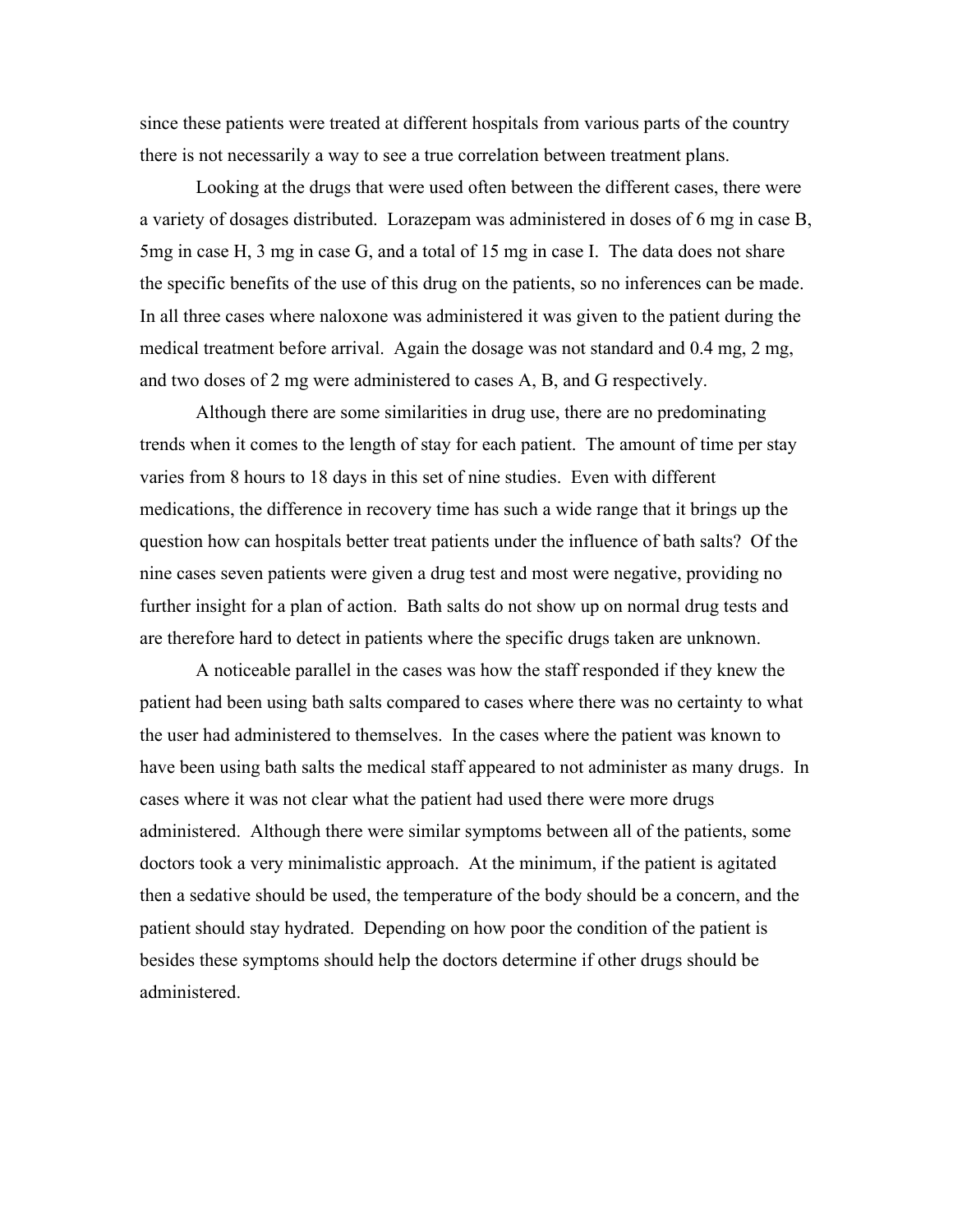since these patients were treated at different hospitals from various parts of the country there is not necessarily a way to see a true correlation between treatment plans.

Looking at the drugs that were used often between the different cases, there were a variety of dosages distributed. Lorazepam was administered in doses of 6 mg in case B, 5mg in case H, 3 mg in case G, and a total of 15 mg in case I. The data does not share the specific benefits of the use of this drug on the patients, so no inferences can be made. In all three cases where naloxone was administered it was given to the patient during the medical treatment before arrival. Again the dosage was not standard and 0.4 mg, 2 mg, and two doses of 2 mg were administered to cases A, B, and G respectively.

Although there are some similarities in drug use, there are no predominating trends when it comes to the length of stay for each patient. The amount of time per stay varies from 8 hours to 18 days in this set of nine studies. Even with different medications, the difference in recovery time has such a wide range that it brings up the question how can hospitals better treat patients under the influence of bath salts? Of the nine cases seven patients were given a drug test and most were negative, providing no further insight for a plan of action. Bath salts do not show up on normal drug tests and are therefore hard to detect in patients where the specific drugs taken are unknown.

A noticeable parallel in the cases was how the staff responded if they knew the patient had been using bath salts compared to cases where there was no certainty to what the user had administered to themselves. In the cases where the patient was known to have been using bath salts the medical staff appeared to not administer as many drugs. In cases where it was not clear what the patient had used there were more drugs administered. Although there were similar symptoms between all of the patients, some doctors took a very minimalistic approach. At the minimum, if the patient is agitated then a sedative should be used, the temperature of the body should be a concern, and the patient should stay hydrated. Depending on how poor the condition of the patient is besides these symptoms should help the doctors determine if other drugs should be administered.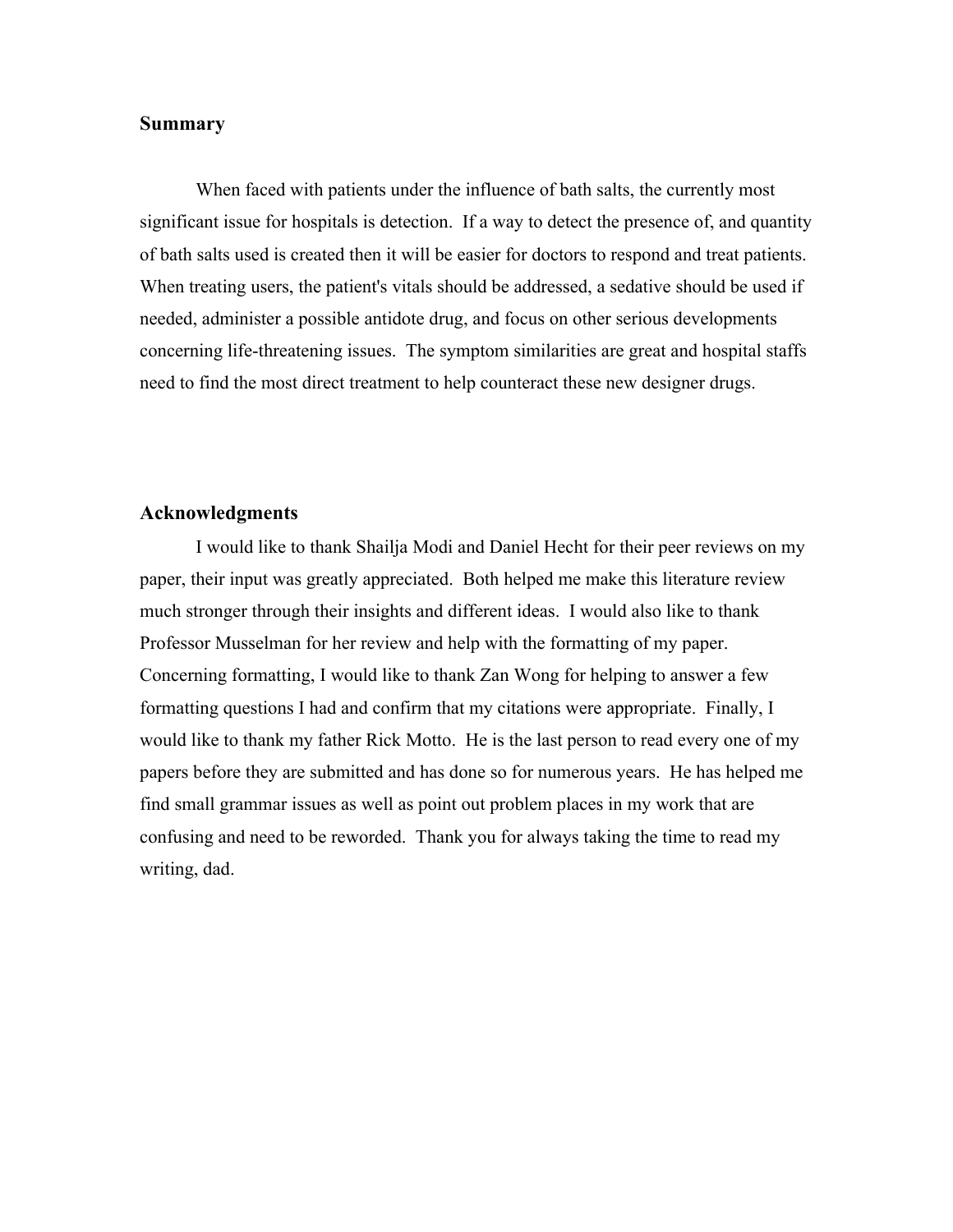#### **Summary**

When faced with patients under the influence of bath salts, the currently most significant issue for hospitals is detection. If a way to detect the presence of, and quantity of bath salts used is created then it will be easier for doctors to respond and treat patients. When treating users, the patient's vitals should be addressed, a sedative should be used if needed, administer a possible antidote drug, and focus on other serious developments concerning life-threatening issues. The symptom similarities are great and hospital staffs need to find the most direct treatment to help counteract these new designer drugs.

# **Acknowledgments**

I would like to thank Shailja Modi and Daniel Hecht for their peer reviews on my paper, their input was greatly appreciated. Both helped me make this literature review much stronger through their insights and different ideas. I would also like to thank Professor Musselman for her review and help with the formatting of my paper. Concerning formatting, I would like to thank Zan Wong for helping to answer a few formatting questions I had and confirm that my citations were appropriate. Finally, I would like to thank my father Rick Motto. He is the last person to read every one of my papers before they are submitted and has done so for numerous years. He has helped me find small grammar issues as well as point out problem places in my work that are confusing and need to be reworded. Thank you for always taking the time to read my writing, dad.